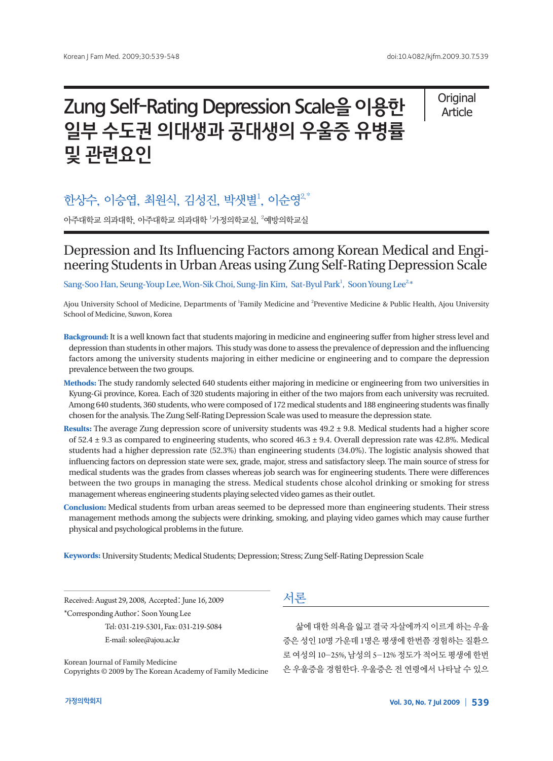# Zung Self-Rating Depression Scale을 이용한 일부 수도권 의대생과 공대생의 우울증 유병률 및 관련요인

**Original** Article

# 한상수, 이승엽, 최원식, 김성진, 박샛별<sup>1</sup>, 이순영 $^{2,\ast}$

아주대학교 의과대학, 아주대학교 의과대학 <sup>1</sup>가정의학교실, <sup>2</sup>예방의학교실

# Depression and Its Influencing Factors among Korean Medical and Engineering Students in Urban Areas using Zung Self-Rating Depression Scale

Sang-Soo Han, Seung-Youp Lee, Won-Sik Choi, Sung-Jin Kim, Sat-Byul Park<sup>1</sup>, Soon Young Lee<sup>2,</sup>\*

Ajou University School of Medicine, Departments of <sup>1</sup>Family Medicine and <sup>2</sup>Preventive Medicine & Public Health, Ajou University School of Medicine, Suwon, Korea

- **Background:** It is a well known fact that students majoring in medicine and engineering suffer from higher stress level and depression than students in other majors. This study was done to assess the prevalence of depression and the influencing factors among the university students majoring in either medicine or engineering and to compare the depression prevalence between the two groups.
- **Methods:** The study randomly selected 640 students either majoring in medicine or engineering from two universities in Kyung-Gi province, Korea. Each of 320 students majoring in either of the two majors from each university was recruited. Among 640 students, 360 students, who were composed of 172 medical students and 188 engineering students was finally chosen for the analysis. The Zung Self-Rating Depression Scale was used to measure the depression state.
- **Results:** The average Zung depression score of university students was 49.2 ± 9.8. Medical students had a higher score of 52.4 ± 9.3 as compared to engineering students, who scored 46.3 ± 9.4. Overall depression rate was 42.8%. Medical students had a higher depression rate (52.3%) than engineering students (34.0%). The logistic analysis showed that influencing factors on depression state were sex, grade, major, stress and satisfactory sleep. The main source of stress for medical students was the grades from classes whereas job search was for engineering students. There were differences between the two groups in managing the stress. Medical students chose alcohol drinking or smoking for stress management whereas engineering students playing selected video games as their outlet.
- **Conclusion:** Medical students from urban areas seemed to be depressed more than engineering students. Their stress management methods among the subjects were drinking, smoking, and playing video games which may cause further physical and psychological problems in the future.

**Keywords:** University Students; Medical Students; Depression; Stress; Zung Self-Rating Depression Scale

Received: August 29, 2008, Accepted: June 16, 2009 \*Corresponding Author: Soon Young Lee Tel: 031-219-5301, Fax: 031-219-5084 E-mail: solee@ajou.ac.kr

Korean Journal of Family Medicine Copyrights © 2009 by The Korean Academy of Family Medicine

# 서론

삶에 대한 의욕을 잃고 결국 자살에까지 이르게 하는 우울 증은 성인 10명 가운데 1명은 평생에 한번쯤 경험하는 질환으 로 여성의 10-25%, 남성의 5-12% 정도가 적어도 평생에 한번 은 우울증을 경험한다. 우울증은 전 연령에서 나타날 수 있으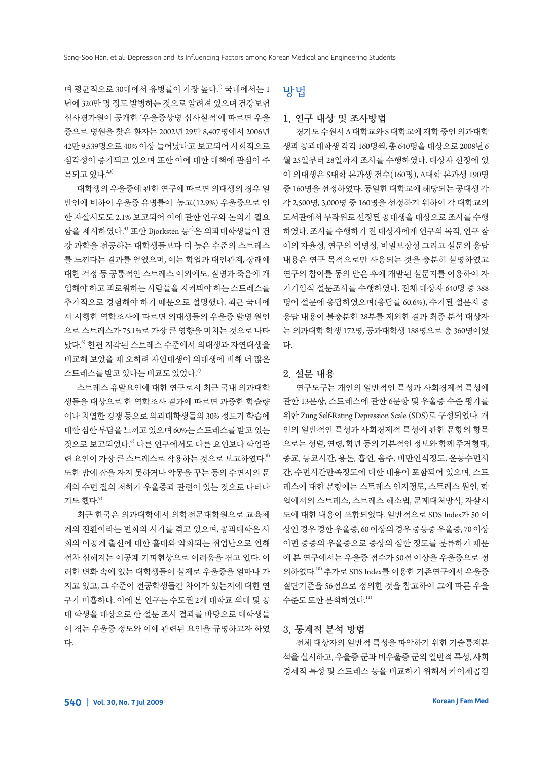며 평균적으로 30대에서 유병률이 가장 높다.<sup>1)</sup> 국내에서는 1 년에 320만 명 정도 발병하는 것으로 알려져 있으며 건강보험 심사평가원이 공개한 '우울증상병 심사실적'에 따르면 우울 증으로 병원을 찾은 환자는 2002년 29만 8,407명에서 2006년 42만 9,539명으로 40% 이상 늘어났다고 보고되어 사회적으로 심각성이 증가되고 있으며 또한 이에 대한 대책에 관심이 주 목되고 있다.<sup>2,3)</sup>

대학생의 우울증에 관한 연구에 따르면 의대생의 경우 일 반인에 비하여 우울증 유병률이 높고(12.9%) 우울증으로 인 한 자살시도도 2.1% 보고되어 이에 관한 연구와 논의가 필요 함을 제시하였다.<sup>4)</sup> 또한 Bjorksten 등<sup>5)</sup>은 의과대학생들이 건 강 과학을 전공하는 대학생들보다 더 높은 수준의 스트레스 를 느낀다는 결과를 얻었으며, 이는 학업과 대인관계, 장래에 대한 걱정 등 공통적인 스트레스 이외에도, 질병과 죽음에 개 입해야 하고 괴로워하는 사람들을 지켜봐야 하는 스트레스를 추가적으로 경험해야 하기 때문으로 설명했다. 최근 국내에 서 시행한 역학조사에 따르면 의대생들의 우울증 발병 원인 으로 스트레스가 75.1%로 가장 큰 영향을 미치는 것으로 나타 났다. 6) 한편 지각된 스트레스 수준에서 의대생과 자연대생을 비교해 보았을 때 오히려 자연대생이 의대생에 비해 더 많은 스트레스를 받고 있다는 비교도 있었다. $^{\eta}$ 

스트레스 유발요인에 대한 연구로서 최근 국내 의과대학 생들을 대상으로 한 역학조사 결과에 따르면 과중한 학습량 이나 치열한 경쟁 등으로 의과대학생들의 30% 정도가 학습에 대한심한부담을느끼고있으며 60%는스트레스를받고있는 것으로 보고되었다. 6) 다른 연구에서도 다른 요인보다 학업관 련 요인이 가장 큰 스트레스로 작용하는 것으로 보고하였다. 8) 또한 밤에 잠을 자지 못하거나 악몽을 꾸는 등의 수면시의 문 제와 수면 질의 저하가 우울증과 관련이 있는 것으로 나타나 기도 했다.<sup>9)</sup>

최근 한국은 의과대학에서 의학전문대학원으로 교육체 계의 전환이라는 변화의 시기를 겪고 있으며, 공과대학은 사 회의 이공계 출신에 대한 홀대와 악화되는 취업난으로 인해 점차 심해지는 이공계 기피현상으로 어려움을 겪고 있다. 이 러한 변화 속에 있는 대학생들이 실제로 우울증을 얼마나 가 지고 있고, 그 수준이 전공학생들간 차이가 있는지에 대한 연 구가 미흡하다. 이에 본 연구는 수도권 2개 대학교 의대 및 공 대 학생을 대상으로 한 설문 조사 결과를 바탕으로 대학생들 이 겪는 우울증 정도와 이에 관련된 요인을 규명하고자 하였 다.

방법

#### 1. 연구 대상 및 조사방법

경기도수원시 A 대학교와 S 대학교에재학중인의과대학 생과 공과대학생 각각 160명씩, 총 640명을 대상으로 2008년 6 월 25일부터 28일까지 조사를 수행하였다. 대상자 선정에 있 어 의대생은 S대학 본과생 전수(160명), A대학 본과생 190명 중 160명을 선정하였다. 동일한 대학교에 해당되는 공대생 각 각 2,500명, 3,000명 중 160명을 선정하기 위하여 각 대학교의 도서관에서 무작위로 선정된 공대생을 대상으로 조사를 수행 하였다. 조사를 수행하기 전 대상자에게 연구의 목적, 연구 참 여의 자율성, 연구의 익명성, 비밀보장성 그리고 설문의 응답 내용은 연구 목적으로만 사용되는 것을 충분히 설명하였고 연구의 참여를 동의 받은 후에 개발된 설문지를 이용하여 자 기기입식 설문조사를 수행하였다. 전체 대상자 640명 중 388 명이 설문에 응답하였으며(응답률 60.6%), 수거된 설문지 중 응답 내용이 불충분한 28부를 제외한 결과 최종 분석 대상자 는 의과대학 학생 172명, 공과대학생 188명으로 총 360명이었 다.

#### 2. 설문 내용

연구도구는 개인의 일반적인 특성과 사회경제적 특성에 관한 13문항, 스트레스에 관한 6문항 및 우울증 수준 평가를 위한 Zung Self-Rating Depression Scale (SDS)로 구성되었다. 개 인의 일반적인 특성과 사회경제적 특성에 관한 문항의 항목 으로는 성별, 연령, 학년 등의 기본적인 정보와 함께 주거형태, 종교, 등교시간, 용돈, 흡연, 음주, 비만인식정도, 운동수면시 간, 수면시간만족정도에 대한 내용이 포함되어 있으며, 스트 레스에 대한 문항에는 스트레스 인지정도, 스트레스 원인, 학 업에서의 스트레스, 스트레스 해소법, 문제대처방식, 자살시 도에 대한 내용이 포함되었다. 일반적으로 SDS Index가 50 이 상인경우경한우울증, 60 이상의경우중등중우울증, 70 이상 이면 중증의 우울증으로 증상의 심한 정도를 분류하기 때문 에 본 연구에서는 우울증 점수가 50점 이상을 우울증으로 정 의하였다. 10) 추가로 SDS Index를 이용한 기존연구에서 우울증 절단기준을 56점으로 정의한 것을 참고하여 그에 따른 우울 수준도 또한 분석하였다. $^{\scriptscriptstyle(11)}$ 

#### 3. 통계적 분석 방법

전체 대상자의 일반적 특성을 파악하기 위한 기술통계분 석을 실시하고, 우울증 군과 비우울증 군의 일반적 특성, 사회 경제적 특성 및 스트레스 등을 비교하기 위해서 카이제곱검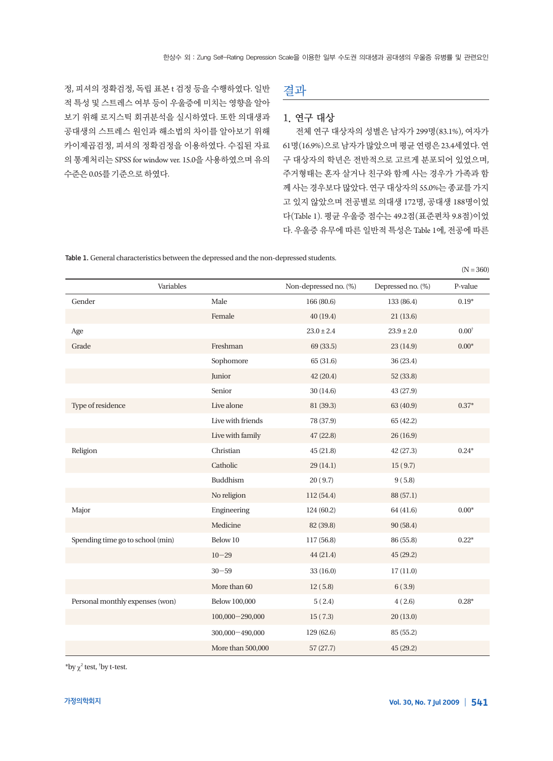정, 피셔의 정확검정, 독립 표본 t 검정 등을 수행하였다. 일반 적 특성 및 스트레스 여부 등이 우울증에 미치는 영향을 알아 보기 위해 로지스틱 회귀분석을 실시하였다. 또한 의대생과 공대생의 스트레스 원인과 해소법의 차이를 알아보기 위해 카이제곱검정, 피셔의 정확검정을 이용하였다. 수집된 자료 의 통계처리는 SPSS for window ver. 15.0을 사용하였으며 유의 수준은 0.05를기준으로하였다.

# 결과

#### 1. 연구 대상

전체 연구 대상자의 성별은 남자가 299명(83.1%), 여자가 61명(16.9%)으로남자가많았으며평균연령은 23.4세였다. 연 구 대상자의 학년은 전반적으로 고르게 분포되어 있었으며, 주거형태는 혼자 살거나 친구와 함께 사는 경우가 가족과 함 께 사는 경우보다 많았다. 연구 대상자의 55.0%는 종교를 가지 고 있지 않았으며 전공별로 의대생 172명, 공대생 188명이었 다(Table 1). 평균 우울증 점수는 49.2점(표준편차 9.8점)이었 다. 우울증 유무에 따른 일반적 특성은 Table 1에, 전공에 따른

Table 1. General characteristics between the depressed and the non-depressed students.

|                                  |                     |                       |                   | $(N = 360)$      |
|----------------------------------|---------------------|-----------------------|-------------------|------------------|
| Variables                        |                     | Non-depressed no. (%) | Depressed no. (%) | P-value          |
| Gender                           | Male                | 166 (80.6)            | 133 (86.4)        | $0.19*$          |
|                                  | Female              | 40(19.4)              | 21(13.6)          |                  |
| Age                              |                     | $23.0 \pm 2.4$        | $23.9 \pm 2.0$    | $0.00^{\dagger}$ |
| Grade                            | Freshman            | 69 (33.5)             | 23 (14.9)         | $0.00*$          |
|                                  | Sophomore           | 65 (31.6)             | 36 (23.4)         |                  |
|                                  | Junior              | 42 (20.4)             | 52 (33.8)         |                  |
|                                  | Senior              | 30(14.6)              | 43 (27.9)         |                  |
| Type of residence                | Live alone          | 81 (39.3)             | 63 (40.9)         | $0.37*$          |
|                                  | Live with friends   | 78 (37.9)             | 65 (42.2)         |                  |
|                                  | Live with family    | 47 (22.8)             | 26(16.9)          |                  |
| Religion                         | Christian           | 45 (21.8)             | 42 (27.3)         | $0.24*$          |
|                                  | Catholic            | 29 (14.1)             | 15(9.7)           |                  |
|                                  | Buddhism            | 20(9.7)               | 9(5.8)            |                  |
|                                  | No religion         | 112 (54.4)            | 88 (57.1)         |                  |
| Major                            | Engineering         | 124 (60.2)            | 64 (41.6)         | $0.00*$          |
|                                  | Medicine            | 82 (39.8)             | 90(58.4)          |                  |
| Spending time go to school (min) | Below 10            | 117 (56.8)            | 86 (55.8)         | $0.22*$          |
|                                  | $10 - 29$           | 44 (21.4)             | 45 (29.2)         |                  |
|                                  | $30 - 59$           | 33(16.0)              | 17(11.0)          |                  |
|                                  | More than 60        | 12(5.8)               | 6(3.9)            |                  |
| Personal monthly expenses (won)  | Below 100,000       | 5(2.4)                | 4(2.6)            | $0.28*$          |
|                                  | $100,000 - 290,000$ | 15(7.3)               | 20(13.0)          |                  |
|                                  | 300,000 - 490,000   | 129 (62.6)            | 85 (55.2)         |                  |
|                                  | More than 500,000   | 57(27.7)              | 45(29.2)          |                  |

\*by  $\chi^2$  test, <sup>†</sup>by t-test.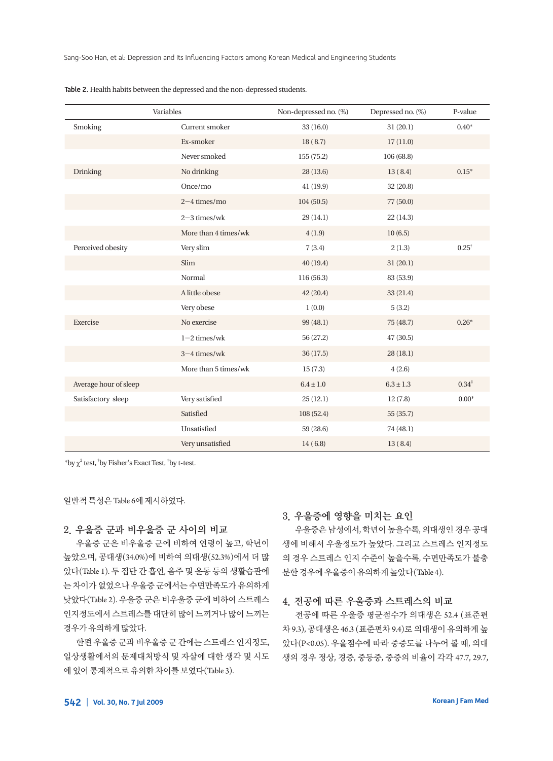| Variables             |                      | Non-depressed no. (%) | Depressed no. (%) | P-value           |
|-----------------------|----------------------|-----------------------|-------------------|-------------------|
| Smoking               | Current smoker       | 33(16.0)              | 31(20.1)          | $0.40*$           |
|                       | Ex-smoker            | 18(8.7)               | 17(11.0)          |                   |
|                       | Never smoked         | 155 (75.2)            | 106 (68.8)        |                   |
| Drinking              | No drinking          | 28(13.6)              | 13(8.4)           | $0.15*$           |
|                       | Once/mo              | 41(19.9)              | 32 (20.8)         |                   |
|                       | $2 - 4$ times/mo     | 104(50.5)             | 77 (50.0)         |                   |
|                       | $2-3$ times/wk       | 29(14.1)              | 22(14.3)          |                   |
|                       | More than 4 times/wk | 4(1.9)                | 10(6.5)           |                   |
| Perceived obesity     | Very slim            | 7(3.4)                | 2(1.3)            | $0.25^{\dagger}$  |
|                       | Slim                 | 40(19.4)              | 31(20.1)          |                   |
|                       | Normal               | 116(56.3)             | 83 (53.9)         |                   |
|                       | A little obese       | 42 (20.4)             | 33 (21.4)         |                   |
|                       | Very obese           | 1(0.0)                | 5(3.2)            |                   |
| Exercise              | No exercise          | 99 (48.1)             | 75 (48.7)         | $0.26*$           |
|                       | $1-2$ times/wk       | 56 (27.2)             | 47 (30.5)         |                   |
|                       | $3 - 4$ times/wk     | 36 (17.5)             | 28(18.1)          |                   |
|                       | More than 5 times/wk | 15(7.3)               | 4(2.6)            |                   |
| Average hour of sleep |                      | $6.4 \pm 1.0$         | $6.3 \pm 1.3$     | $0.34^{\ddagger}$ |
| Satisfactory sleep    | Very satisfied       | 25(12.1)              | 12(7.8)           | $0.00*$           |
|                       | Satisfied            | 108 (52.4)            | 55 (35.7)         |                   |
|                       | Unsatisfied          | 59 (28.6)             | 74 (48.1)         |                   |
|                       | Very unsatisfied     | 14(6.8)               | 13(8.4)           |                   |

Table 2. Health habits between the depressed and the non-depressed students.

 $*$ by  $\chi^2$  test,  $*$ by Fisher's Exact Test,  $*$ by t-test.

일반적특성은 Table 6에제시하였다.

#### 2. 우울증 군과 비우울증 군 사이의 비교

우울증 군은 비우울증 군에 비하여 연령이 높고, 학년이 높았으며, 공대생(34.0%)에 비하여 의대생(52.3%)에서 더 많 았다(Table 1). 두 집단 간 흡연, 음주 및 운동 등의 생활습관에 는 차이가 없었으나 우울증 군에서는 수면만족도가 유의하게 낮았다(Table 2). 우울증 군은 비우울증 군에 비하여 스트레스 인지정도에서 스트레스를 대단히 많이 느끼거나 많이 느끼는 경우가유의하게많았다.

한편 우울증 군과 비우울증 군 간에는 스트레스 인지정도, 일상생활에서의 문제대처방식 및 자살에 대한 생각 및 시도 에있어통계적으로유의한차이를보였다(Table 3).

## 3. 우울증에 영향을 미치는 요인

우울증은 남성에서, 학년이 높을수록, 의대생인 경우 공대 생에 비해서 우울정도가 높았다. 그리고 스트레스 인지정도 의 경우 스트레스 인지 수준이 높을수록, 수면만족도가 불충 분한경우에우울증이유의하게높았다(Table 4).

#### 4. 전공에 따른 우울증과 스트레스의 비교

전공에 따른 우울증 평균점수가 의대생은 52.4 (표준편 차 9.3), 공대생은 46.3 (표준편차 9.4)로 의대생이 유의하게 높 았다(P<0.05). 우울점수에 따라 중증도를 나누어 볼 때, 의대 생의 경우 정상, 경증, 중등중, 중증의 비율이 각각 47.7, 29.7,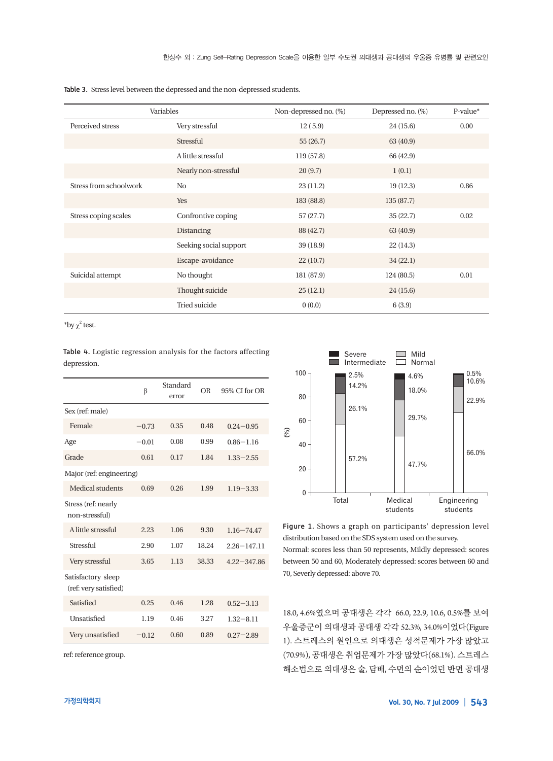Table 3. Stress level between the depressed and the non-depressed students.

| Variables              |                        | Non-depressed no. (%) | Depressed no. (%) | P-value* |
|------------------------|------------------------|-----------------------|-------------------|----------|
| Perceived stress       | Very stressful         | 12(5.9)               | 24(15.6)          | 0.00     |
|                        | Stressful              | 55(26.7)              | 63 (40.9)         |          |
|                        | A little stressful     | 119(57.8)             | 66 (42.9)         |          |
|                        | Nearly non-stressful   | 20(9.7)               | 1(0.1)            |          |
| Stress from schoolwork | N <sub>0</sub>         | 23(11.2)              | 19(12.3)          | 0.86     |
|                        | Yes                    | 183 (88.8)            | 135(87.7)         |          |
| Stress coping scales   | Confrontive coping     | 57(27.7)              | 35(22.7)          | 0.02     |
|                        | Distancing             | 88 (42.7)             | 63 (40.9)         |          |
|                        | Seeking social support | 39(18.9)              | 22(14.3)          |          |
|                        | Escape-avoidance       | 22(10.7)              | 34(22.1)          |          |
| Suicidal attempt       | No thought             | 181 (87.9)            | 124(80.5)         | 0.01     |
|                        | Thought suicide        | 25(12.1)              | 24(15.6)          |          |
|                        | Tried suicide          | 0(0.0)                | 6(3.9)            |          |

 $*$ by  $\chi^2$  test.

Table 4. Logistic regression analysis for the factors affecting depression.

|                                             | β       | Standard<br>error | OR    | 95% CI for OR   |
|---------------------------------------------|---------|-------------------|-------|-----------------|
| Sex (ref: male)                             |         |                   |       |                 |
| Female                                      | $-0.73$ | 0.35              | 0.48  | $0.24 - 0.95$   |
| Age                                         | $-0.01$ | 0.08              | 0.99  | $0.86 - 1.16$   |
| Grade                                       | 0.61    | 0.17              | 1.84  | $1.33 - 2.55$   |
| Major (ref: engineering)                    |         |                   |       |                 |
| Medical students                            | 0.69    | 0.26              | 1.99  | $1.19 - 3.33$   |
| Stress (ref: nearly<br>non-stressful)       |         |                   |       |                 |
| A little stressful                          | 2.23    | 1.06              | 9.30  | $1.16 - 74.47$  |
| Stressful                                   | 2.90    | 1.07              | 18.24 | $2.26 - 147.11$ |
| Very stressful                              | 3.65    | 1.13              | 38.33 | $4.22 - 347.86$ |
| Satisfactory sleep<br>(ref: very satisfied) |         |                   |       |                 |
| Satisfied                                   | 0.25    | 0.46              | 1.28  | $0.52 - 3.13$   |
| Unsatisfied                                 | 1.19    | 0.46              | 3.27  | $1.32 - 8.11$   |
| Very unsatisfied                            | $-0.12$ | 0.60              | 0.89  | $0.27 - 2.89$   |

ref: reference group.



Figure 1. Shows a graph on participants' depression level distribution based on the SDS system used on the survey. Normal: scores less than 50 represents, Mildly depressed: scores between 50 and 60, Moderately depressed: scores between 60 and 70, Severly depressed: above 70.

18.0, 4.6%였으며 공대생은 각각 66.0, 22.9, 10.6, 0.5%를 보여 우울증군이 의대생과 공대생 각각 52.3%, 34.0%이었다(Figure 1). 스트레스의 원인으로 의대생은 성적문제가 가장 많았고 (70.9%), 공대생은 취업문제가 가장 많았다(68.1%). 스트레스 해소법으로 의대생은 술, 담배, 수면의 순이었던 반면 공대생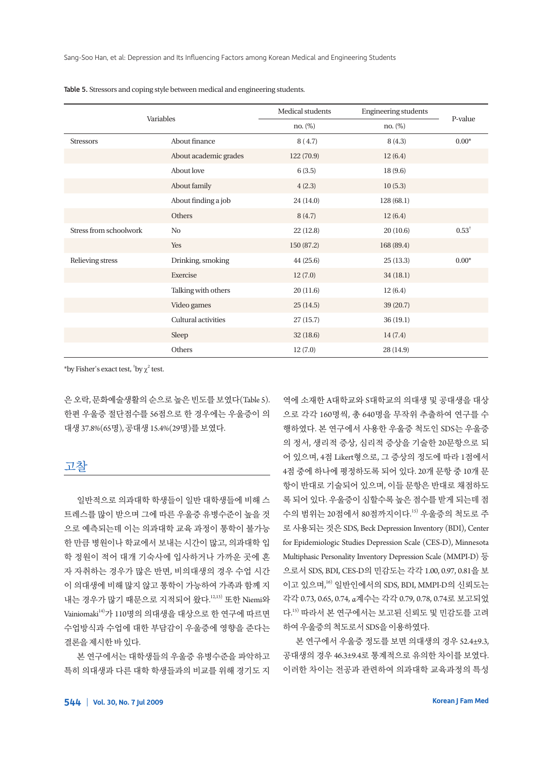| Variables              |                       | Medical students | <b>Engineering students</b> |                  |
|------------------------|-----------------------|------------------|-----------------------------|------------------|
|                        |                       | no. $(\%)$       | no. (%)                     | P-value          |
| <b>Stressors</b>       | About finance         | 8(4.7)           | 8(4.3)                      | $0.00*$          |
|                        | About academic grades | 122 (70.9)       | 12(6.4)                     |                  |
|                        | About love            | 6(3.5)           | 18(9.6)                     |                  |
|                        | About family          | 4(2.3)           | 10(5.3)                     |                  |
|                        | About finding a job   | 24(14.0)         | 128 (68.1)                  |                  |
|                        | Others                | 8(4.7)           | 12(6.4)                     |                  |
| Stress from schoolwork | N <sub>0</sub>        | 22(12.8)         | 20(10.6)                    | $0.53^{\dagger}$ |
|                        | Yes                   | 150 (87.2)       | 168 (89.4)                  |                  |
| Relieving stress       | Drinking, smoking     | 44(25.6)         | 25(13.3)                    | $0.00*$          |
|                        | Exercise              | 12(7.0)          | 34(18.1)                    |                  |
|                        | Talking with others   | 20(11.6)         | 12(6.4)                     |                  |
|                        | Video games           | 25(14.5)         | 39 (20.7)                   |                  |
|                        | Cultural activities   | 27(15.7)         | 36(19.1)                    |                  |
|                        | Sleep                 | 32(18.6)         | 14(7.4)                     |                  |
|                        | Others                | 12(7.0)          | 28 (14.9)                   |                  |

Table 5. Stressors and coping style between medical and engineering students.

\*by Fisher's exact test,  $'$ by  $\chi^2$  test.

은 오락, 문화예술생활의 순으로 높은 빈도를 보였다(Table 5). 한편 우울증 절단점수를 56점으로 한 경우에는 우울증이 의 대생 37.8%(65명), 공대생 15.4%(29명)를보였다.

# 고찰

일반적으로 의과대학 학생들이 일반 대학생들에 비해 스 트레스를 많이 받으며 그에 따른 우울증 유병수준이 높을 것 으로 예측되는데 이는 의과대학 교육 과정이 통학이 불가능 한 만큼 병원이나 학교에서 보내는 시간이 많고, 의과대학 입 학 정원이 적어 대개 기숙사에 입사하거나 가까운 곳에 혼 자 자취하는 경우가 많은 반면, 비의대생의 경우 수업 시간 이 의대생에 비해 많지 않고 통학이 가능하여 가족과 함께 지 내는 경우가 많기 때문으로 지적되어 왔다.<sup>12,13)</sup> 또한 Niemi와  $V$ ainiomaki<sup>14)</sup>가 110명의 의대생을 대상으로 한 연구에 따르면 수업방식과 수업에 대한 부담감이 우울증에 영향을 준다는 결론을제시한바있다.

본 연구에서는 대학생들의 우울증 유병수준을 파악하고 특히 의대생과 다른 대학 학생들과의 비교를 위해 경기도 지 역에 소재한 A대학교와 S대학교의 의대생 및 공대생을 대상 으로 각각 160명씩, 총 640명을 무작위 추출하여 연구를 수 행하였다. 본 연구에서 사용한 우울증 척도인 SDS는 우울증 의 정서, 생리적 증상, 심리적 증상을 기술한 20문항으로 되 어 있으며, 4점 Likert형으로, 그 증상의 정도에 따라 1점에서 4점 중에 하나에 평정하도록 되어 있다. 20개 문항 중 10개 문 항이 반대로 기술되어 있으며, 이들 문항은 반대로 채점하도 록 되어 있다. 우울증이 심할수록 높은 점수를 받게 되는데 점 수의 범위는 20점에서 80점까지이다. 15) 우울증의 척도로 주 로 사용되는 것은 SDS, Beck Depression Inventory (BDI), Center for Epidemiologic Studies Depression Scale (CES-D), Minnesota Multiphasic Personality Inventory Depression Scale (MMPI-D) 등 으로서 SDS, BDI, CES-D의 민감도는 각각 1.00, 0.97, 0.81을 보 이고 있으며, 16) 일반인에서의 SDS, BDI, MMPI-D의 신뢰도는 각각 0.73, 0.65, 0.74, α계수는 각각 0.79, 0.78, 0.74로 보고되었 다. 15) 따라서 본 연구에서는 보고된 신뢰도 및 민감도를 고려 하여우울증의척도로서 SDS을이용하였다.

본 연구에서 우울증 정도를 보면 의대생의 경우 52.4±9.3, 공대생의 경우 46.3±9.4로 통계적으로 유의한 차이를 보였다. 이러한 차이는 전공과 관련하여 의과대학 교육과정의 특성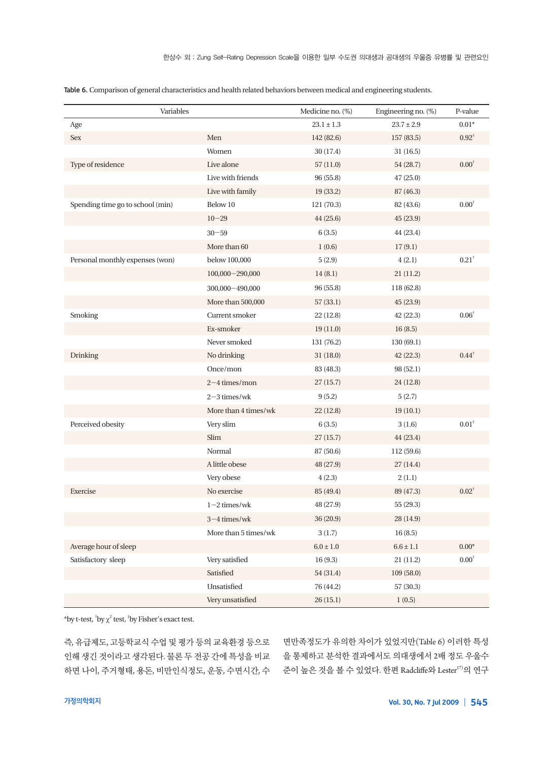| Variables                        |                      | Medicine no. (%) | Engineering no. (%) | P-value          |
|----------------------------------|----------------------|------------------|---------------------|------------------|
| Age                              |                      | $23.1 \pm 1.3$   | $23.7 \pm 2.9$      | $0.01*$          |
| Sex                              | Men                  | 142 (82.6)       | 157 (83.5)          | $0.92^{\dagger}$ |
|                                  | Women                | 30 (17.4)        | 31(16.5)            |                  |
| Type of residence                | Live alone           | 57(11.0)         | 54 (28.7)           | $0.00^{\dagger}$ |
|                                  | Live with friends    | 96 (55.8)        | 47(25.0)            |                  |
|                                  | Live with family     | 19 (33.2)        | 87 (46.3)           |                  |
| Spending time go to school (min) | Below 10             | 121 (70.3)       | 82 (43.6)           | $0.00^{\dagger}$ |
|                                  | $10 - 29$            | 44 (25.6)        | 45 (23.9)           |                  |
|                                  | $30 - 59$            | 6(3.5)           | 44 (23.4)           |                  |
|                                  | More than 60         | 1(0.6)           | 17(9.1)             |                  |
| Personal monthly expenses (won)  | below 100,000        | 5(2.9)           | 4(2.1)              | $0.21^{\dagger}$ |
|                                  | $100,000 - 290,000$  | 14(8.1)          | 21(11.2)            |                  |
|                                  | $300,000 - 490,000$  | 96 (55.8)        | 118 (62.8)          |                  |
|                                  | More than 500,000    | 57(33.1)         | 45 (23.9)           |                  |
| Smoking                          | Current smoker       | 22(12.8)         | 42(22.3)            | $0.06^{\dagger}$ |
|                                  | Ex-smoker            | 19(11.0)         | 16(8.5)             |                  |
|                                  | Never smoked         | 131 (76.2)       | 130 (69.1)          |                  |
| <b>Drinking</b>                  | No drinking          | 31(18.0)         | 42 (22.3)           | $0.44^{\dagger}$ |
|                                  | Once/mon             | 83 (48.3)        | 98 (52.1)           |                  |
|                                  | $2 - 4$ times/mon    | 27(15.7)         | 24 (12.8)           |                  |
|                                  | $2-3$ times/wk       | 9(5.2)           | 5(2.7)              |                  |
|                                  | More than 4 times/wk | 22(12.8)         | 19(10.1)            |                  |
| Perceived obesity                | Very slim            | 6(3.5)           | 3(1.6)              | $0.01^\ddagger$  |
|                                  | Slim                 | 27(15.7)         | 44 (23.4)           |                  |
|                                  | Normal               | 87 (50.6)        | 112 (59.6)          |                  |
|                                  | A little obese       | 48 (27.9)        | 27(14.4)            |                  |
|                                  | Very obese           | 4(2.3)           | 2(1.1)              |                  |
| Exercise                         | No exercise          | 85 (49.4)        | 89 (47.3)           | $0.02^{\dagger}$ |
|                                  | $1-2$ times/wk       | 48 (27.9)        | 55 (29.3)           |                  |
|                                  | $3 - 4$ times/wk     | 36 (20.9)        | 28 (14.9)           |                  |
|                                  | More than 5 times/wk | 3(1.7)           | 16(8.5)             |                  |
| Average hour of sleep            |                      | $6.0\pm1.0$      | $6.6 \pm 1.1$       | $0.00*$          |
| Satisfactory sleep               | Very satisfied       | 16(9.3)          | 21(11.2)            | $0.00^\dagger$   |
|                                  | Satisfied            | 54 (31.4)        | 109(58.0)           |                  |
|                                  | Unsatisfied          | 76 (44.2)        | 57 (30.3)           |                  |
|                                  | Very unsatisfied     | 26(15.1)         | 1(0.5)              |                  |

Table 6. Comparison of general characteristics and health related behaviors between medical and engineering students.

\*by t-test, <sup>†</sup>by  $\chi^2$  test, <sup>‡</sup>by Fisher's exact test.

즉, 유급제도, 고등학교식 수업 및 평가 등의 교육환경 등으로 면만족정도가 유의한 차이가 있었지만(Table 6) 이러한 특성 인해 생긴 것이라고 생각된다. 물론 두 전공 간에 특성을 비교 을 통제하고 분석한 결과에서도 의대생에서 2배 정도 우울수 하면 나이, 주거형태, 용돈, 비만인식정도, 운동, 수면시간, 수 준이 높은 것을 볼 수 있었다. 한편 Radcliffe와 Lester<sup>17)</sup>의 연구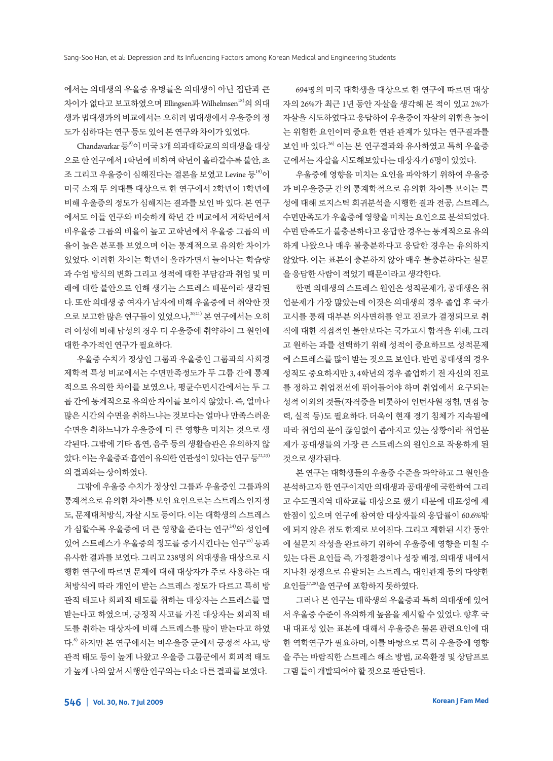에서는 의대생의 우울증 유병률은 의대생이 아닌 집단과 큰 차이가 없다고 보고하였으며 Ellingsen과 Wilhelmsen<sup>18)</sup>의 의대 생과 법대생과의 비교에서는 오히려 법대생에서 우울증의 정 도가 심하다는 연구 등도 있어 본 연구와 차이가 있었다.

Chandavarkar 등 $9$ 이 미국 3개 의과대학교의 의대생을 대상 으로 한 연구에서 1학년에 비하여 학년이 올라갈수록 불안, 초 조 그리고 우울증이 심해진다는 결론을 보였고 Levine 등<sup>19)</sup>이 미국 소재 두 의대를 대상으로 한 연구에서 2학년이 1학년에 비해 우울증의 정도가 심해지는 결과를 보인 바 있다. 본 연구 에서도 이들 연구와 비슷하게 학년 간 비교에서 저학년에서 비우울증 그룹의 비율이 높고 고학년에서 우울증 그룹의 비 율이 높은 분포를 보였으며 이는 통계적으로 유의한 차이가 있었다. 이러한 차이는 학년이 올라가면서 늘어나는 학습량 과 수업 방식의 변화 그리고 성적에 대한 부담감과 취업 및 미 래에 대한 불안으로 인해 생기는 스트레스 때문이라 생각된 다. 또한 의대생 중 여자가 남자에 비해 우울증에 더 취약한 것 으로 보고한 많은 연구들이 있었으나,<sup>20,21)</sup> 본 연구에서는 오히 려 여성에 비해 남성의 경우 더 우울증에 취약하여 그 원인에 대한 추가적인 연구가 필요하다.

우울증 수치가 정상인 그룹과 우울증인 그룹과의 사회경 제학적 특성 비교에서는 수면만족정도가 두 그룹 간에 통계 적으로 유의한 차이를 보였으나, 평균수면시간에서는 두 그 룹 간에 통계적으로 유의한 차이를 보이지 않았다. 즉, 얼마나 많은 시간의 수면을 취하느냐는 것보다는 얼마나 만족스러운 수면을 취하느냐가 우울증에 더 큰 영향을 미치는 것으로 생 각된다. 그밖에 기타 흡연, 음주 등의 생활습관은 유의하지 않 았다. 이는 우울증과 흡연이 유의한 연관성이 있다는 연구 등 $^{22,23)}$ 의결과와는상이하였다.

그밖에 우울증 수치가 정상인 그룹과 우울증인 그룹과의 통계적으로 유의한 차이를 보인 요인으로는 스트레스 인지정 도, 문제대처방식, 자살 시도 등이다. 이는 대학생의 스트레스 가 심할수록 우울증에 더 큰 영향을 준다는 연구<sup>24)</sup>와 성인에 있어 스트레스가 우울증의 정도를 증가시킨다는 연구<sup>25)</sup> 등과 유사한 결과를 보였다. 그리고 238명의 의대생을 대상으로 시 행한 연구에 따르면 문제에 대해 대상자가 주로 사용하는 대 처방식에 따라 개인이 받는 스트레스 정도가 다르고 특히 방 관적 태도나 회피적 태도를 취하는 대상자는 스트레스를 덜 받는다고 하였으며, 긍정적 사고를 가진 대상자는 회피적 태 도를 취하는 대상자에 비해 스트레스를 많이 받는다고 하였 다. 8) 하지만 본 연구에서는 비우울증 군에서 긍정적 사고, 방 관적 태도 등이 높게 나왔고 우울증 그룹군에서 회피적 태도 가높게나와앞서시행한연구와는다소다른결과를보였다.

694명의 미국 대학생을 대상으로 한 연구에 따르면 대상 자의 26%가 최근 1년 동안 자살을 생각해 본 적이 있고 2%가 자살을 시도하였다고 응답하여 우울증이 자살의 위험을 높이 는 위험한 요인이며 중요한 연관 관계가 있다는 연구결과를 보인 바 있다. 26) 이는 본 연구결과와 유사하였고 특히 우울증 군에서는자살을시도해보았다는대상자가 6명이있었다.

우울증에 영향을 미치는 요인을 파악하기 위하여 우울증 과 비우울증군 간의 통계학적으로 유의한 차이를 보이는 특 성에 대해 로지스틱 회귀분석을 시행한 결과 전공, 스트레스, 수면만족도가 우울증에 영향을 미치는 요인으로 분석되었다. 수면 만족도가 불충분하다고 응답한 경우는 통계적으로 유의 하게 나왔으나 매우 불충분하다고 응답한 경우는 유의하지 않았다. 이는 표본이 충분하지 않아 매우 불충분하다는 설문 을응답한사람이적었기때문이라고생각한다.

한편 의대생의 스트레스 원인은 성적문제가, 공대생은 취 업문제가 가장 많았는데 이것은 의대생의 경우 졸업 후 국가 고시를 통해 대부분 의사면허를 얻고 진로가 결정되므로 취 직에 대한 직접적인 불안보다는 국가고시 합격을 위해, 그리 고 원하는 과를 선택하기 위해 성적이 중요하므로 성적문제 에 스트레스를 많이 받는 것으로 보인다. 반면 공대생의 경우 성적도 중요하지만 3, 4학년의 경우 졸업하기 전 자신의 진로 를 정하고 취업전선에 뛰어들어야 하며 취업에서 요구되는 성적 이외의 것들(자격증을 비롯하여 인턴사원 경험, 면접 능 력, 실적 등)도 필요하다. 더욱이 현재 경기 침체가 지속됨에 따라 취업의 문이 끊임없이 좁아지고 있는 상황이라 취업문 제가 공대생들의 가장 큰 스트레스의 원인으로 작용하게 된 것으로생각된다.

본 연구는 대학생들의 우울증 수준을 파악하고 그 원인을 분석하고자 한 연구이지만 의대생과 공대생에 국한하여 그리 고 수도권지역 대학교를 대상으로 했기 때문에 대표성에 제 한점이 있으며 연구에 참여한 대상자들의 응답률이 60.6%밖 에 되지 않은 점도 한계로 보여진다. 그리고 제한된 시간 동안 에 설문지 작성을 완료하기 위하여 우울증에 영향을 미칠 수 있는 다른 요인들 즉, 가정환경이나 성장 배경, 의대생 내에서 지나친 경쟁으로 유발되는 스트레스, 대인관계 등의 다양한 요인들27,28)을 여구에 포함하지 못하였다.

그러나 본 연구는 대학생의 우울증과 특히 의대생에 있어 서 우울증 수준이 유의하게 높음을 제시할 수 있었다. 향후 국 내 대표성 있는 표본에 대해서 우울증은 물론 관련요인에 대 한 역학연구가 필요하며, 이를 바탕으로 특히 우울증에 영향 을 주는 바람직한 스트레스 해소 방법, 교육환경 및 상담프로 그램들이개발되어야할것으로판단된다.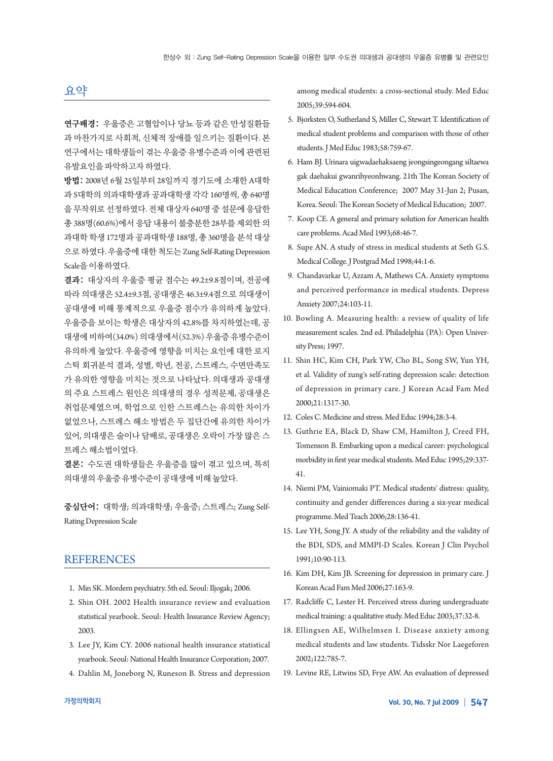## 요약

연구배경: 우울증은 고혈압이나 당뇨 등과 같은 만성질환들 과 마찬가지로 사회적, 신체적 장애를 일으키는 질환이다. 본 연구에서는 대학생들이 겪는 우울증 유병수준과 이에 관련된 유발요인을파악하고자하였다.

방법: 2008년 6월 25일부터 28일까지 경기도에 소재한 A대학 과 S대학의 의과대학생과 공과대학생 각각 160명씩, 총 640명 을 무작위로 선정하였다. 전체 대상자 640명 중 설문에 응답한 총 388명(60.6%)에서 응답 내용이 불충분한 28부를 제외한 의 과대학 학생 172명과 공과대학생 188명, 총 360명을 분석 대상 으로하였다. 우울증에대한척도는 Zung Self-Rating Depression Scale을이용하였다.

결과: 대상자의 우울증 평균 점수는 49.2±9.8점이며, 전공에 따라 의대생은 52.4±9.3점, 공대생은 46.3±9.4점으로 의대생이 공대생에 비해 통계적으로 우울증 점수가 유의하게 높았다. 우울증을 보이는 학생은 대상자의 42.8%를 차지하였는데, 공 대생에비하여(34.0%) 의대생에서(52.3%) 우울증유병수준이 유의하게 높았다. 우울증에 영향을 미치는 요인에 대한 로지 스틱 회귀분석 결과, 성별, 학년, 전공, 스트레스, 수면만족도 가 유의한 영향을 미치는 것으로 나타났다. 의대생과 공대생 의 주요 스트레스 원인은 의대생의 경우 성적문제, 공대생은 취업문제였으며, 학업으로 인한 스트레스는 유의한 차이가 없었으나, 스트레스 해소 방법은 두 집단간에 유의한 차이가 있어, 의대생은 술이나 담배로, 공대생은 오락이 가장 많은 스 트레스해소법이었다.

결론: 수도권 대학생들은 우울증을 많이 겪고 있으며, 특히 의대생의우울증유병수준이공대생에비해높았다.

중심단어: 대학생; 의과대학생; 우울증; 스트레스; Zung Self-Rating Depression Scale

#### **REFERENCES**

- 1. Min SK. Mordern psychiatry. 5th ed. Seoul: Iljogak; 2006.
- 2. Shin OH. 2002 Health insurance review and evaluation statistical yearbook. Seoul: Health Insurance Review Agency; 2003.
- 3. Lee JY, Kim CY. 2006 national health insurance statistical yearbook. Seoul: National Health Insurance Corporation; 2007.
- 4. Dahlin M, Joneborg N, Runeson B. Stress and depression

among medical students: a cross-sectional study. Med Educ 2005;39:594-604.

- 5. Bjorksten O, Sutherland S, Miller C, Stewart T. Identification of medical student problems and comparison with those of other students. J Med Educ 1983;58:759-67.
- 6. Ham BJ. Urinara uigwadaehaksaeng jeongsingeongang siltaewa gak daehakui gwanrihyeonhwang. 21th The Korean Society of Medical Education Conference; 2007 May 31-Jun 2; Pusan, Korea. Seoul: The Korean Society of Medical Education; 2007.
- 7. Koop CE. A general and primary solution for American health care problems. Acad Med 1993;68:46-7.
- 8. Supe AN. A study of stress in medical students at Seth G.S. Medical College. J Postgrad Med 1998;44:1-6.
- 9. Chandavarkar U, Azzam A, Mathews CA. Anxiety symptoms and perceived performance in medical students. Depress Anxiety 2007;24:103-11.
- 10. Bowling A. Measuring health: a review of quality of life measurement scales. 2nd ed. Philadelphia (PA): Open University Press; 1997.
- 11. Shin HC, Kim CH, Park YW, Cho BL, Song SW, Yun YH, et al. Validity of zung's self-rating depression scale: detection of depression in primary care. J Korean Acad Fam Med 2000;21:1317-30.
- 12. Coles C. Medicine and stress. Med Educ 1994;28:3-4.
- 13. Guthrie EA, Black D, Shaw CM, Hamilton J, Creed FH, Tomenson B. Embarking upon a medical career: psychological morbidity in first year medical students. Med Educ 1995;29:337-41.
- 14. Niemi PM, Vainiomaki PT. Medical students' distress: quality, continuity and gender differences during a six-year medical programme. Med Teach 2006;28:136-41.
- 15. Lee YH, Song JY. A study of the reliability and the validity of the BDI, SDS, and MMPI-D Scales. Korean J Clin Psychol 1991;10:90-113.
- 16. Kim DH, Kim JB. Screening for depression in primary care. J Korean Acad Fam Med 2006;27:163-9.
- 17. Radcliffe C, Lester H. Perceived stress during undergraduate medical training: a qualitative study. Med Educ 2003;37:32-8.
- 18. Ellingsen AE, Wilhelmsen I. Disease anxiety among medical students and law students. Tidsskr Nor Laegeforen 2002;122:785-7.
- 19. Levine RE, Litwins SD, Frye AW. An evaluation of depressed